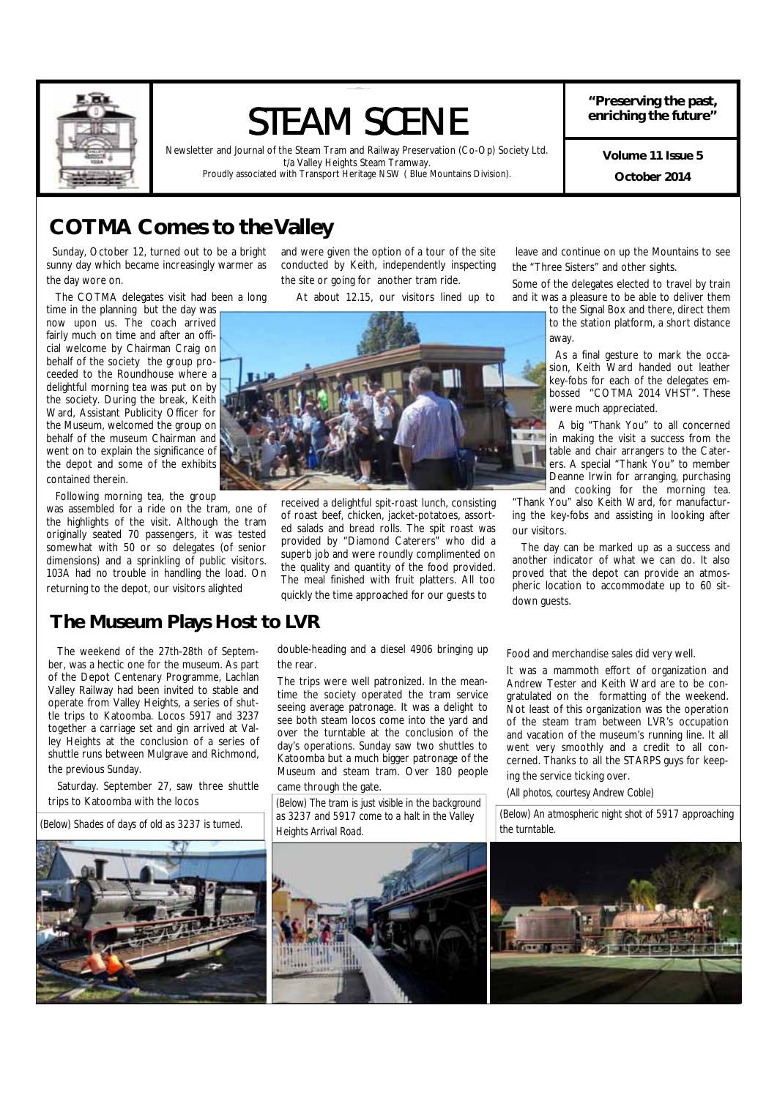

# STEAM SCENE

Newsletter and Journal of the Steam Tram and Railway Preservation (Co-Op) Society Ltd. t/a Valley Heights Steam Tramway. Proudly associated with Transport Heritage NSW ( Blue Mountains Division).

**"Preserving the past, enriching the future"** 

> **October 2014 Volume 11 Issue 5**

## **COTMA Comes to the Valley**

 Sunday, October 12, turned out to be a bright sunny day which became increasingly warmer as the day wore on.

The COTMA delegates visit had been a long

time in the planning but the day was now upon us. The coach arrived fairly much on time and after an official welcome by Chairman Craig on behalf of the society the group proceeded to the Roundhouse where a delightful morning tea was put on by the society. During the break, Keith Ward, Assistant Publicity Officer for the Museum, welcomed the group on behalf of the museum Chairman and went on to explain the significance of the depot and some of the exhibits contained therein.

Following morning tea, the group

was assembled for a ride on the tram, one of the highlights of the visit. Although the tram originally seated 70 passengers, it was tested somewhat with 50 or so delegates (of senior dimensions) and a sprinkling of public visitors. 103A had no trouble in handling the load. On returning to the depot, our visitors alighted

## **The Museum Plays Host to LVR**

 The weekend of the 27th-28th of September, was a hectic one for the museum. As part of the Depot Centenary Programme, Lachlan Valley Railway had been invited to stable and operate from Valley Heights, a series of shuttle trips to Katoomba. Locos 5917 and 3237 together a carriage set and gin arrived at Valley Heights at the conclusion of a series of shuttle runs between Mulgrave and Richmond, the previous Sunday.

 Saturday. September 27, saw three shuttle trips to Katoomba with the locos

*(Below) Shades of days of old as 3237 is turned.* 



and were given the option of a tour of the site conducted by Keith, independently inspecting the site or going for another tram ride.

At about 12.15, our visitors lined up to



received a delightful spit-roast lunch, consisting of roast beef, chicken, jacket-potatoes, assorted salads and bread rolls. The spit roast was provided by "Diamond Caterers" who did a superb job and were roundly complimented on the quality and quantity of the food provided. The meal finished with fruit platters. All too quickly the time approached for our guests to

 leave and continue on up the Mountains to see the "Three Sisters" and other sights.

**"Preserving the past, enrichin g th e future"** STEAM SCENE

Some of the delegates elected to travel by train and it was a pleasure to be able to deliver them

to the Signal Box and there, direct them to the station platform, a short distance away.

 As a final gesture to mark the occasion, Keith Ward handed out leather key-fobs for each of the delegates embossed "COTMA 2014 VHST". These were much appreciated.

 A big "Thank You" to all concerned in making the visit a success from the table and chair arrangers to the Caterers. A special "Thank You" to member Deanne Irwin for arranging, purchasing and cooking for the morning tea.

"Thank You" also Keith Ward, for manufacturing the key-fobs and assisting in looking after our visitors.

 The day can be marked up as a success and another indicator of what we can do. It also proved that the depot can provide an atmospheric location to accommodate up to 60 sitdown guests.

double-heading and a diesel 4906 bringing up the rear.

The trips were well patronized. In the meantime the society operated the tram service seeing average patronage. It was a delight to see both steam locos come into the yard and over the turntable at the conclusion of the day's operations. Sunday saw two shuttles to Katoomba but a much bigger patronage of the Museum and steam tram. Over 180 people

came through the gate.

*(Below) The tram is just visible in the background as 3237 and 5917 come to a halt in the Valley Heights Arrival Road.* 



Food and merchandise sales did very well.

It was a mammoth effort of organization and Andrew Tester and Keith Ward are to be congratulated on the formatting of the weekend. Not least of this organization was the operation of the steam tram between LVR's occupation and vacation of the museum's running line. It all went very smoothly and a credit to all concerned. Thanks to all the STARPS guys for keeping the service ticking over.

*(All photos, courtesy Andrew Coble)* 

*(Below) An atmospheric night shot of 5917 approaching the turntable.* 

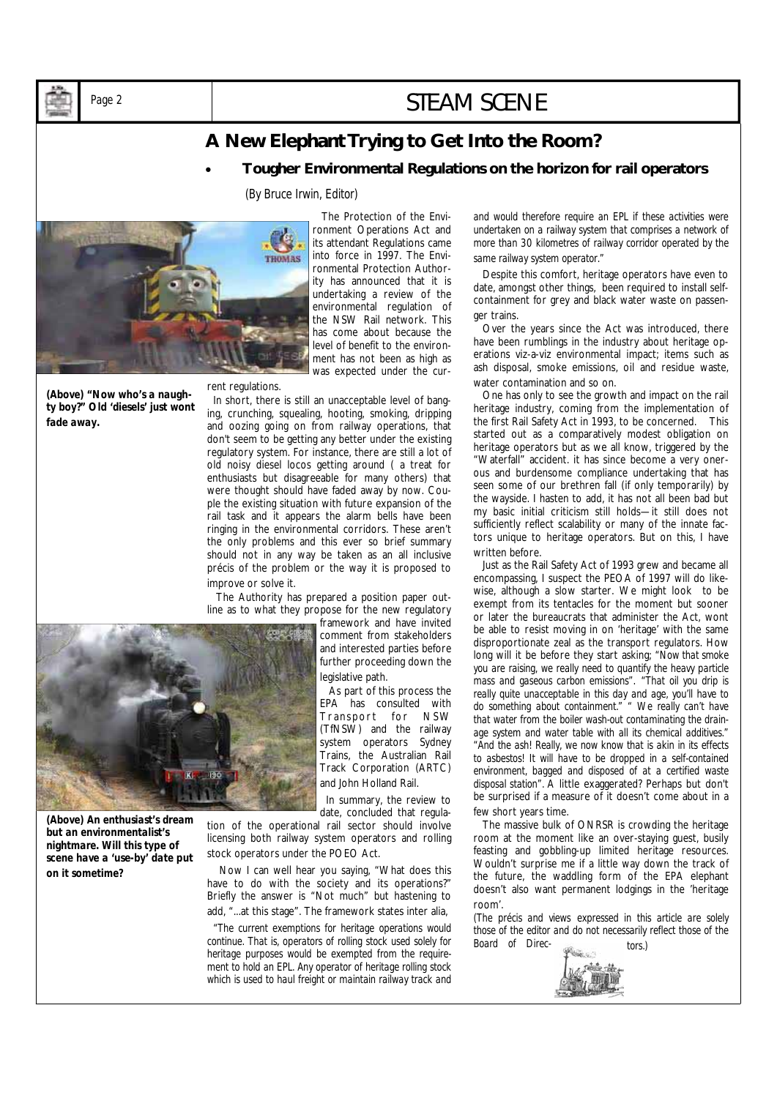## Page 2 and 2 and 2 and 2 and 2 and 2 and 2 and 2 and 2 and 2 and 2 and 2 and 2 and 2 and 2 and 2 and 2 and 2 and 2 and 2 and 2 and 2 and 2 and 2 and 2 and 2 and 2 and 2 and 2 and 2 and 2 and 2 and 2 and 2 and 2 and 2 and 2

## **A New Elephant Trying to Get Into the Room?**

• **Tougher Environmental Regulations on the horizon for rail operators** 

### *(By Bruce Irwin, Editor)*



*(Above) "Now who's a naughty boy?" Old 'diesels' just wont* 

*fade away.* 

 The Protection of the Environment Operations Act and its attendant Regulations came into force in 1997. The Environmental Protection Authority has announced that it is undertaking a review of the environmental regulation of the NSW Rail network. This has come about because the level of benefit to the environment has not been as high as was expected under the cur-

### rent regulations.

 In short, there is still an unacceptable level of banging, crunching, squealing, hooting, smoking, dripping and oozing going on from railway operations, that don't seem to be getting any better under the existing regulatory system. For instance, there are still a lot of old noisy diesel locos getting around ( a treat for enthusiasts but disagreeable for many others) that were thought should have faded away by now. Couple the existing situation with future expansion of the rail task and it appears the alarm bells have been ringing in the environmental corridors. These aren't the only problems and this ever so brief summary should not in any way be taken as an all inclusive précis of the problem or the way it is proposed to improve or solve it.

 The Authority has prepared a position paper outline as to what they propose for the new regulatory

framework and have invited comment from stakeholders and interested parties before further proceeding down the legislative path.

 As part of this process the EPA has consulted with Transport for NSW (TfNSW) and the railway system operators Sydney Trains, the Australian Rail Track Corporation (ARTC) and John Holland Rail.

 In summary, the review to date, concluded that regula-

tion of the operational rail sector should involve licensing both railway system operators and rolling stock operators under the POEO Act.

 Now I can well hear you saying, "What does this have to do with the society and its operations?" Briefly the answer is "Not much" but hastening to add, "...at this stage". The framework states inter alia,

 *"The current exemptions for heritage operations would continue. That is, operators of rolling stock used solely for heritage purposes would be exempted from the requirement to hold an EPL. Any operator of heritage rolling stock which is used to haul freight or maintain railway track and* 

*and would therefore require an EPL if these activities were undertaken on a railway system that comprises a network of more than 30 kilometres of railway corridor operated by the same railway system operator."* 

 Despite this comfort, heritage operators have even to date, amongst other things, been required to install selfcontainment for grey and black water waste on passenger trains.

 Over the years since the Act was introduced, there have been rumblings in the industry about heritage operations viz-a-viz environmental impact; items such as ash disposal, smoke emissions, oil and residue waste, water contamination and so on.

 One has only to see the growth and impact on the rail heritage industry, coming from the implementation of the first Rail Safety Act in 1993, to be concerned. This started out as a comparatively modest obligation on heritage operators but as we all know, triggered by the "Waterfall" accident. it has since become a very onerous and burdensome compliance undertaking that has seen some of our brethren fall (if only temporarily) by the wayside. I hasten to add, it has not all been bad but my basic initial criticism still holds—it still does not sufficiently reflect scalability or many of the innate factors unique to heritage operators. But on this, I have written before.

 Just as the Rail Safety Act of 1993 grew and became all encompassing, I suspect the PEOA of 1997 will do likewise, although a slow starter. We might look to be exempt from its tentacles for the moment but sooner or later the bureaucrats that administer the Act, wont be able to resist moving in on 'heritage' with the same disproportionate zeal as the transport regulators. How long will it be before they start asking; *"Now that smoke you are raising, we really need to quantify the heavy particle mass and gaseous carbon emissions"*. *"That oil you drip is really quite unacceptable in this day and age, you'll have to do something about containment." " We really can't have that water from the boiler wash-out contaminating the drainage system and water table with all its chemical additives." "And the ash! Really, we now know that is akin in its effects to asbestos! It will have to be dropped in a self-contained environment, bagged and disposed of at a certified waste disposal station".* A little exaggerated? Perhaps but don't be surprised if a measure of it doesn't come about in a few short years time.

 The massive bulk of ONRSR is crowding the heritage room at the moment like an over-staying guest, busily feasting and gobbling-up limited heritage resources. Wouldn't surprise me if a little way down the track of the future, the waddling form of the EPA elephant doesn't also want permanent lodgings in the 'heritage room'.

*(The précis and views expressed in this article are solely those of the editor and do not necessarily reflect those of the Board of Direc- tors.)*





*(Above) An enthusiast's dream but an environmentalist's nightmare. Will this type of scene have a 'use-by' date put on it sometime?* 

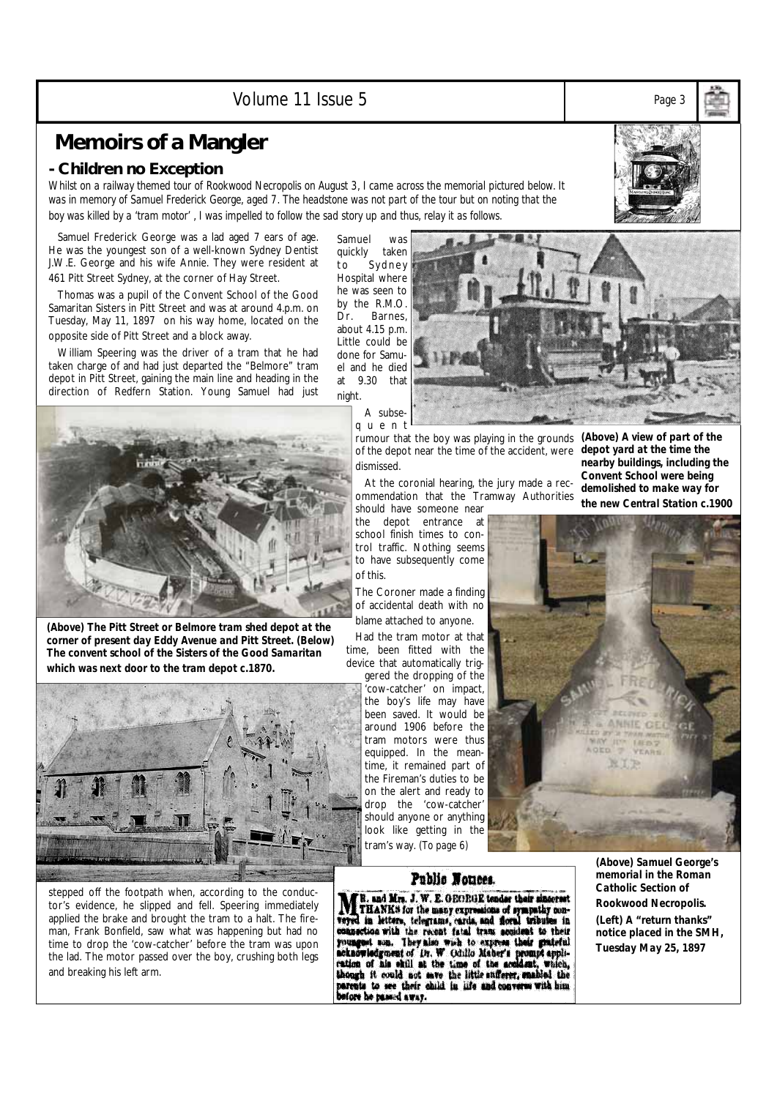Volume 11 Issue 5 *Page 3* 

## **Memoirs of a Mangler**

## **- Children no Exception**

*Whilst on a railway themed tour of Rookwood Necropolis on August 3, I came across the memorial pictured below. It was in memory of Samuel Frederick George, aged 7. The headstone was not part of the tour but on noting that the boy was killed by a 'tram motor' , I was impelled to follow the sad story up and thus, relay it as follows.* 

 Samuel Frederick George was a lad aged 7 ears of age. He was the youngest son of a well-known Sydney Dentist J.W.E. George and his wife Annie. They were resident at 461 Pitt Street Sydney, at the corner of Hay Street.

 Thomas was a pupil of the Convent School of the Good Samaritan Sisters in Pitt Street and was at around 4.p.m. on Tuesday, May 11, 1897 on his way home, located on the opposite side of Pitt Street and a block away.

 William Speering was the driver of a tram that he had taken charge of and had just departed the "Belmore" tram depot in Pitt Street, gaining the main line and heading in the direction of Redfern Station. Young Samuel had just

Samuel was quickly taken to Sydney Hospital where he was seen to by the R.M.O. Dr. Barnes, about 4.15 p.m. Little could be done for Samuel and he died at 9.30 that night.



*(Above) The Pitt Street or Belmore tram shed depot at the corner of present day Eddy Avenue and Pitt Street. (Below) The convent school of the Sisters of the Good Samaritan which was next door to the tram depot c.1870.* 



stepped off the footpath when, according to the conductor's evidence, he slipped and fell. Speering immediately applied the brake and brought the tram to a halt. The fireman, Frank Bonfield, saw what was happening but had no time to drop the 'cow-catcher' before the tram was upon the lad. The motor passed over the boy, crushing both legs and breaking his left arm.

rumour that the boy was playing in the grounds *(Above) A view of part of the*  of the depot near the time of the accident, were dismissed.

 At the coronial hearing, the jury made a recommendation that the Tramway Authorities

should have someone near the depot entrance at school finish times to control traffic. Nothing seems to have subsequently come of this.

The Coroner made a finding of accidental death with no blame attached to anyone.

 Had the tram motor at that time, been fitted with the device that automatically trig-

gered the dropping of the 'cow-catcher' on impact, the boy's life may have been saved. It would be around 1906 before the tram motors were thus equipped. In the meantime, it remained part of the Fireman's duties to be on the alert and ready to drop the 'cow-catcher' should anyone or anything look like getting in the tram's way. *(To page 6)*

**Veyed** 

Public Nomees. R. and Mrs. J. W. E. OEORGE tender their sincerest THANKS for the many expressions of sympathy con-

veyed in letters, telegrams, cards, and floral tributes in connection with the recent fatal trans secolest to their youngest some with the second set granter allows the according optical acknowledgenerated in. W. Odullo Ma

*depot yard at the time the nearby buildings, including the Convent School were being demolished to make way for* 

## *(Above) Samuel George's memorial in the Roman Catholic Section of Rookwood Necropolis.*

*(Left) A "return thanks" notice placed in the SMH, Tuesday May 25, 1897* 

*the new Central Station c.1900* 



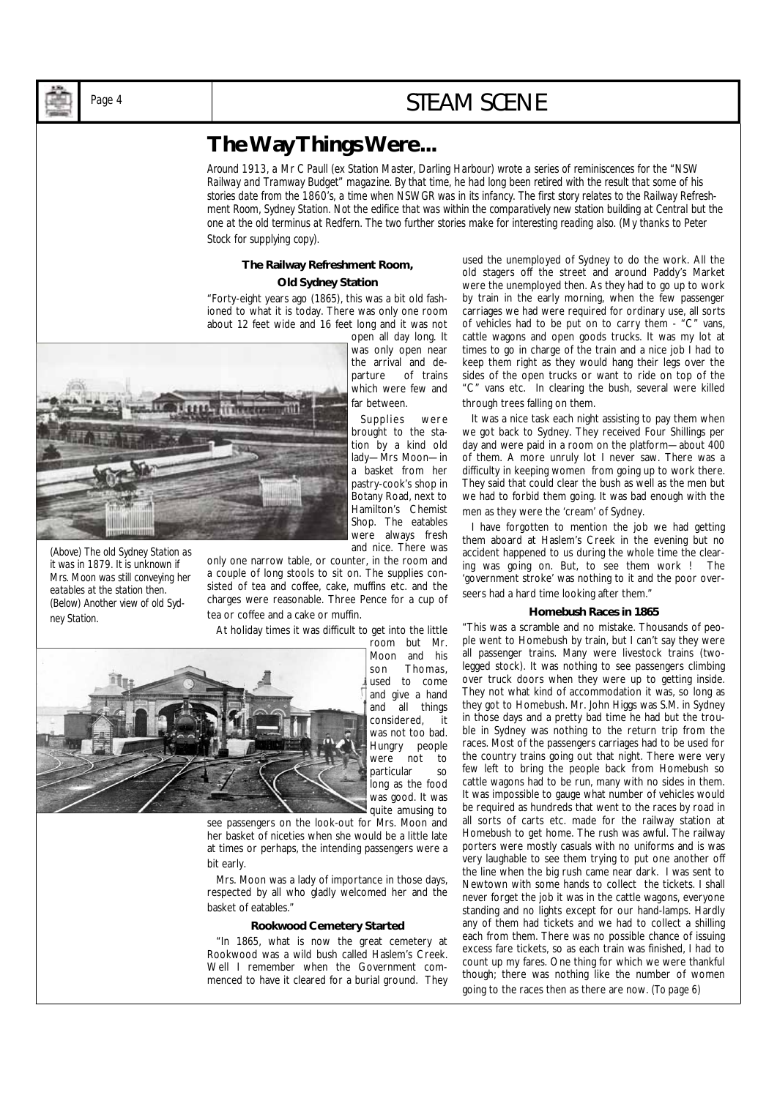## Page 4 **STEAM SCENE**

## **The Way Things Were...**

*Around 1913, a Mr C Paull (ex Station Master, Darling Harbour) wrote a series of reminiscences for the "NSW Railway and Tramway Budget" magazine. By that time, he had long been retired with the result that some of his stories date from the 1860's, a time when NSWGR was in its infancy. The first story relates to the Railway Refreshment Room, Sydney Station. Not the edifice that was within the comparatively new station building at Central but the one at the old terminus at Redfern. The two further stories make for interesting reading also. (My thanks to Peter Stock for supplying copy).* 

## **The Railway Refreshment Room,**

### **Old Sydney Station**

"Forty-eight years ago (1865), this was a bit old fashioned to what it is today. There was only one room about 12 feet wide and 16 feet long and it was not open all day long. It

*(Above) A well-loaded goods tram 'all stops' to Cronulla. Even the dummy truck has a load on.* 

*(Above) The old Sydney Station as it was in 1879. It is unknown if Mrs. Moon was still conveying her eatables at the station then. (Below) Another view of old Sydney Station.* 

was only open near the arrival and departure of trains which were few and far between. Supplies were

brought to the station by a kind old lady—Mrs Moon—in a basket from her pastry-cook's shop in Botany Road, next to Hamilton's Chemist Shop. The eatables were always fresh and nice. There was

only one narrow table, or counter, in the room and a couple of long stools to sit on. The supplies consisted of tea and coffee, cake, muffins etc. and the charges were reasonable. Three Pence for a cup of tea or coffee and a cake or muffin.

At holiday times it was difficult to get into the little



room but Mr. Moon and his son Thomas, used to come and give a hand and all things considered, it was not too bad. Hungry people were not to particular so long as the food was good. It was quite amusing to

see passengers on the look-out for Mrs. Moon and her basket of niceties when she would be a little late at times or perhaps, the intending passengers were a bit early.

 Mrs. Moon was a lady of importance in those days, respected by all who gladly welcomed her and the basket of eatables."

#### **Rookwood Cemetery Started**

 "In 1865, what is now the great cemetery at Rookwood was a wild bush called Haslem's Creek. Well I remember when the Government commenced to have it cleared for a burial ground. They used the unemployed of Sydney to do the work. All the old stagers off the street and around Paddy's Market were the unemployed then. As they had to go up to work by train in the early morning, when the few passenger carriages we had were required for ordinary use, all sorts of vehicles had to be put on to carry them - "C" vans, cattle wagons and open goods trucks. It was my lot at times to go in charge of the train and a nice job I had to keep them right as they would hang their legs over the sides of the open trucks or want to ride on top of the "C" vans etc. In clearing the bush, several were killed through trees falling on them.

 It was a nice task each night assisting to pay them when we got back to Sydney. They received Four Shillings per day and were paid in a room on the platform—about 400 of them. A more unruly lot I never saw. There was a difficulty in keeping women from going up to work there. They said that could clear the bush as well as the men but we had to forbid them going. It was bad enough with the men as they were the 'cream' of Sydney.

 I have forgotten to mention the job we had getting them aboard at Haslem's Creek in the evening but no accident happened to us during the whole time the clearing was going on. But, to see them work ! The 'government stroke' was nothing to it and the poor overseers had a hard time looking after them."

#### **Homebush Races in 1865**

"This was a scramble and no mistake. Thousands of people went to Homebush by train, but I can't say they were all passenger trains. Many were livestock trains (twolegged stock). It was nothing to see passengers climbing over truck doors when they were up to getting inside. They not what kind of accommodation it was, so long as they got to Homebush. Mr. John Higgs was S.M. in Sydney in those days and a pretty bad time he had but the trouble in Sydney was nothing to the return trip from the races. Most of the passengers carriages had to be used for the country trains going out that night. There were very few left to bring the people back from Homebush so cattle wagons had to be run, many with no sides in them. It was impossible to gauge what number of vehicles would be required as hundreds that went to the races by road in all sorts of carts etc. made for the railway station at Homebush to get home. The rush was awful. The railway porters were mostly casuals with no uniforms and is was very laughable to see them trying to put one another off the line when the big rush came near dark. I was sent to Newtown with some hands to collect the tickets. I shall never forget the job it was in the cattle wagons, everyone standing and no lights except for our hand-lamps. Hardly any of them had tickets and we had to collect a shilling each from them. There was no possible chance of issuing excess fare tickets, so as each train was finished, I had to count up my fares. One thing for which we were thankful though; there was nothing like the number of women going to the races then as there are now. *(To page 6)*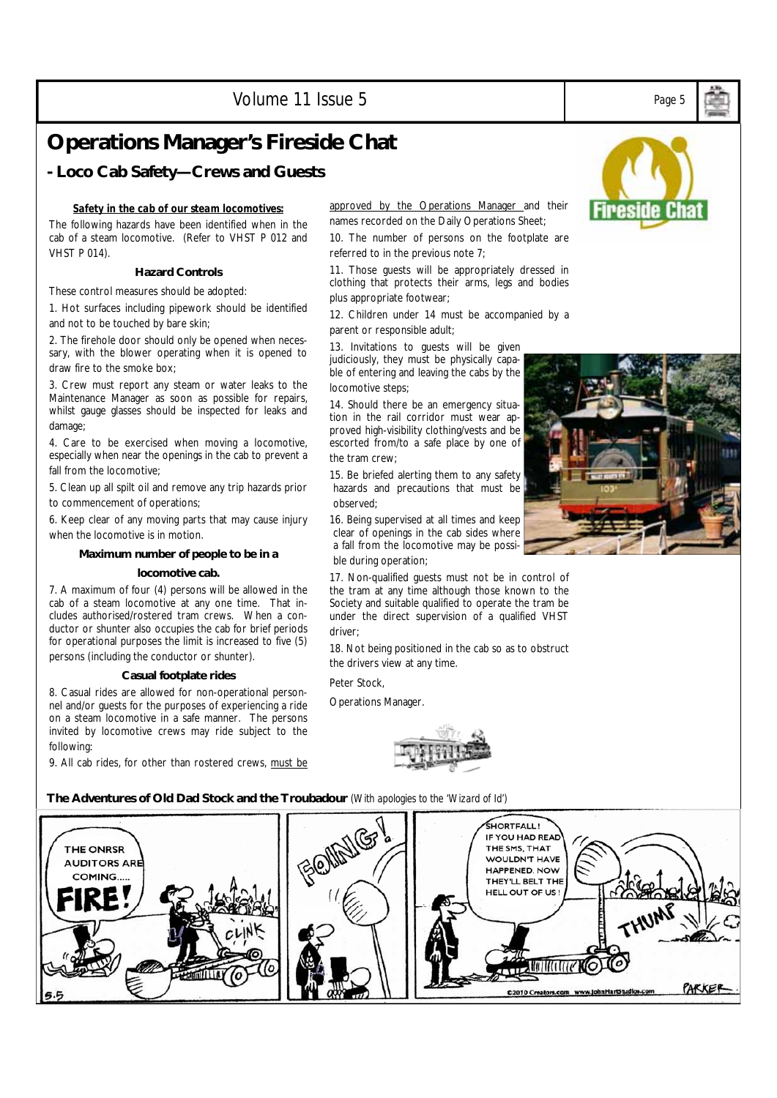Volume 11 Issue 5 *Page 5* 

## **Operations Manager's Fireside Chat**

## **- Loco Cab Safety—Crews and Guests**

## *Safety in the cab of our steam locomotives:*

The following hazards have been identified when in the cab of a steam locomotive. (Refer to VHST P 012 and VHST P 014).

## **Hazard Controls**

These control measures should be adopted:

1. Hot surfaces including pipework should be identified and not to be touched by bare skin;

2. The firehole door should only be opened when necessary, with the blower operating when it is opened to draw fire to the smoke box;

3. Crew must report any steam or water leaks to the Maintenance Manager as soon as possible for repairs, whilst gauge glasses should be inspected for leaks and damage;

4. Care to be exercised when moving a locomotive, especially when near the openings in the cab to prevent a fall from the locomotive;

5. Clean up all spilt oil and remove any trip hazards prior to commencement of operations;

6. Keep clear of any moving parts that may cause injury when the locomotive is in motion.

## **Maximum number of people to be in a**

#### **locomotive cab.**

7. A maximum of four (4) persons will be allowed in the cab of a steam locomotive at any one time. That includes authorised/rostered tram crews. When a conductor or shunter also occupies the cab for brief periods for operational purposes the limit is increased to five (5) persons (including the conductor or shunter).

#### **Casual footplate rides**

8. Casual rides are allowed for non-operational personnel and/or guests for the purposes of experiencing a ride on a steam locomotive in a safe manner. The persons invited by locomotive crews may ride subject to the following:

9. All cab rides, for other than rostered crews, must be

### approved by the Operations Manager and their names recorded on the Daily Operations Sheet;

10. The number of persons on the footplate are referred to in the previous note 7;

11. Those guests will be appropriately dressed in clothing that protects their arms, legs and bodies plus appropriate footwear;

12. Children under 14 must be accompanied by a parent or responsible adult;

13. Invitations to guests will be given judiciously, they must be physically capable of entering and leaving the cabs by the locomotive steps;

14. Should there be an emergency situation in the rail corridor must wear approved high-visibility clothing/vests and be escorted from/to a safe place by one of the tram crew;

15. Be briefed alerting them to any safety hazards and precautions that must be observed;

16. Being supervised at all times and keep clear of openings in the cab sides where a fall from the locomotive may be possible during operation;

17. Non-qualified guests must not be in control of the tram at any time although those known to the Society and suitable qualified to operate the tram be under the direct supervision of a qualified VHST driver;

18. Not being positioned in the cab so as to obstruct the drivers view at any time.

Peter Stock,

Operations Manager.



**The Adventures of Old Dad Stock and the Troubadour** *(With apologies to the 'Wizard of Id')*